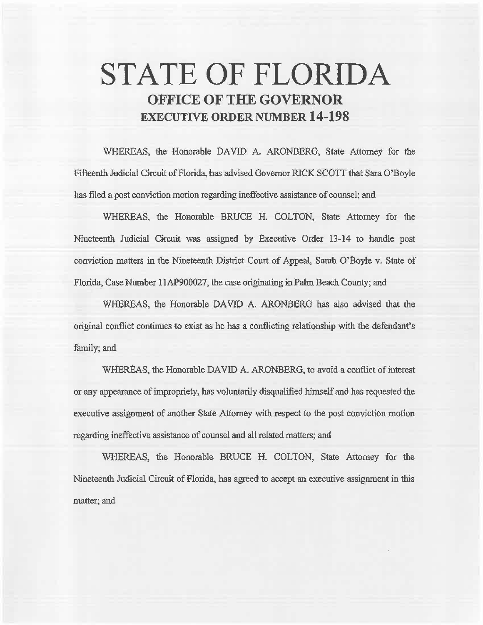## **STATE OF FLORIDA OFFICE OF THE GOVERNOR EXECUTIVE ORDER** NUMBER **14-198**

WHEREAS, the Honorable DAVID A. ARONBERG, State Attorney for the Fifteenth Judicial Circuit of Florida, has advised Governor RICK SCOTT that Sara O'Boyle has filed a post conviction motion regarding ineffective assistance of counsel; and

WHEREAS, the Honorable BRUCE H. COLTON, State Attorney for the Nineteenth Judicial Circuit was assigned by Executive Order 13-14 to handle post conviction matters in the Nineteenth District Court of Appeal, Sarah O'Boyle v. State of Florida, Case Number 11AP900027, the case originating in Palm Beach County; and

WHEREAS, the Honorable DAVID A. ARONBERG has also advised that the original conflict continues to exist as he has a conflicting relationship with the defendant's family; and

WHEREAS, the Honorable DAVID A. ARONBERG, to avoid a conflict of interest or any appearance of impropriety, has voluntarily disqualified himself and has requested the executive assignment of another State Attorney with respect to the post conviction motion regarding ineffective assistance of counsel and all related matters; and

WHEREAS, the Honorable BRUCE H. COLTON, State Attorney for the Nineteenth Judicial Circuit of Florida, has agreed to accept an executive assignment in this matter; and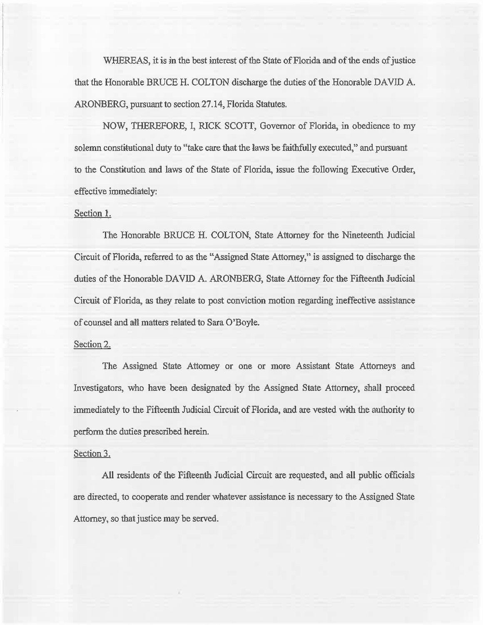WHEREAS, it is in the best interest of the State of Florida and of the ends of justice that the Honorable BRUCE H. COLTON discharge the duties of the Honorable DAVID A. ARONBERG, pursuant to section 27.14, Florida Statutes.

NOW, THEREFORE, I, RICK SCOTI, Governor of Florida, in obedience to my solemn constitutional duty to "take care that the laws be faithfully executed," and pursuant to the Constitution and laws of the State of Florida, issue the following Executive Order, effective immediately:

## Section l.

The Honorable BRUCE H. COLTON, State Attorney for the Nineteenth Judicial Circuit of Florida, referred to as the "Assigned State Attorney," is assigned to discharge the duties of the Honorable DAVID A. ARONBERG, State Attorney for the Fifteenth Judicial Circuit of Florida, as they relate to post conviction motion regarding ineffective assistance of counsel and all matters related to Sara O'Boyle.

## Section 2.

The Assigned State Attorney or one or more Assistant State Attorneys and Investigators, who have been designated by the Assigned 8tate Attorney, shall proceed immediately to the Fifteenth Judicial Circuit of Florida, and are vested with the authority to perform the duties prescribed herein.

## Section 3.

All residents of the Fifteenth Judicial Circuit are requested, and all public officials are directed, to cooperate and render whatever assistance is necessary to the Assigned State Attorney, so that justice may be served.